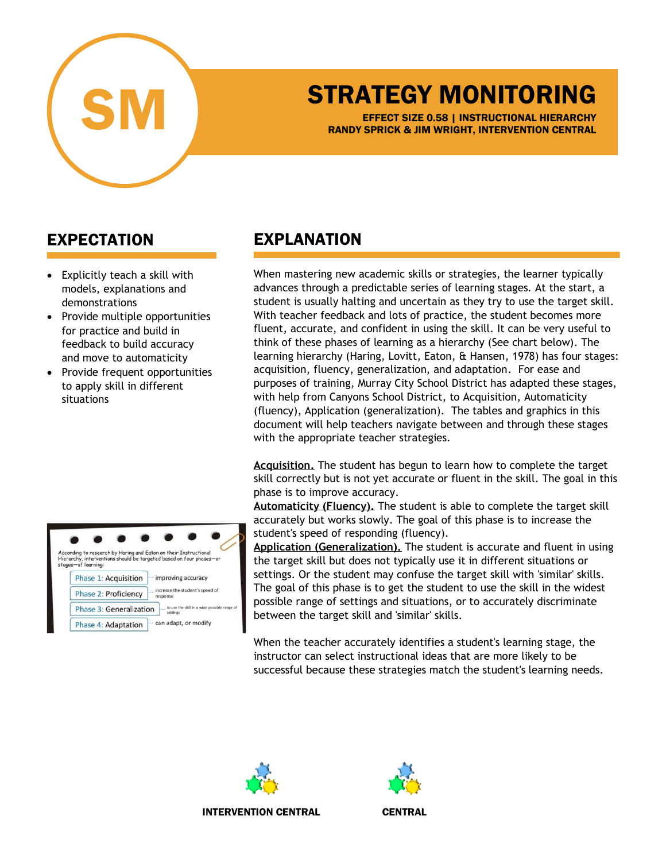

## STRATEGY MONITORING

EFFECT SIZE 0.58 | INSTRUCTIONAL HIERARCHY RANDY SPRICK & JIM WRIGHT, INTERVENTION CENTRAL

## EXPECTATION

- Explicitly teach a skill with models, explanations and demonstrations
- Provide multiple opportunities for practice and build in feedback to build accuracy and move to automaticity
- Provide frequent opportunities to apply skill in different situations

| According to research by Haring and Eaton on their Instructional | Hierarchy, interventions should be targeted based on four phases-or |
|------------------------------------------------------------------|---------------------------------------------------------------------|
| stages-of learning:                                              |                                                                     |
| Phase 1: Acquisition                                             | improving accuracy                                                  |
| <b>Phase 2: Proficiency</b>                                      | increase the student's speed of<br>response                         |
| Phase 3: Generalization                                          | to use the skill in a wide possible range of<br>settings            |
| Phase 4: Adaptation                                              | can adapt, or modify                                                |

## EXPLANATION

When mastering new academic skills or strategies, the learner typically advances through a predictable series of learning stages. At the start, a student is usually halting and uncertain as they try to use the target skill. With teacher feedback and lots of practice, the student becomes more fluent, accurate, and confident in using the skill. It can be very useful to think of these phases of learning as a hierarchy (See chart below). The learning hierarchy (Haring, Lovitt, Eaton, & Hansen, 1978) has four stages: acquisition, fluency, generalization, and adaptation. For ease and purposes of training, Murray City School District has adapted these stages, with help from Canyons School District, to Acquisition, Automaticity (fluency), Application (generalization). The tables and graphics in this document will help teachers navigate between and through these stages with the appropriate teacher strategies.

**Acquisition.** The student has begun to learn how to complete the target skill correctly but is not yet accurate or fluent in the skill. The goal in this phase is to improve accuracy.

**Automaticity (Fluency).** The student is able to complete the target skill accurately but works slowly. The goal of this phase is to increase the student's speed of responding (fluency).

**Application (Generalization).** The student is accurate and fluent in using the target skill but does not typically use it in different situations or settings. Or the student may confuse the target skill with 'similar' skills. The goal of this phase is to get the student to use the skill in the widest possible range of settings and situations, or to accurately discriminate between the target skill and 'similar' skills.

When the teacher accurately identifies a student's learning stage, the instructor can select instructional ideas that are more likely to be successful because these strategies match the student's learning needs.





INTERVENTION CENTRAL CENTRAL